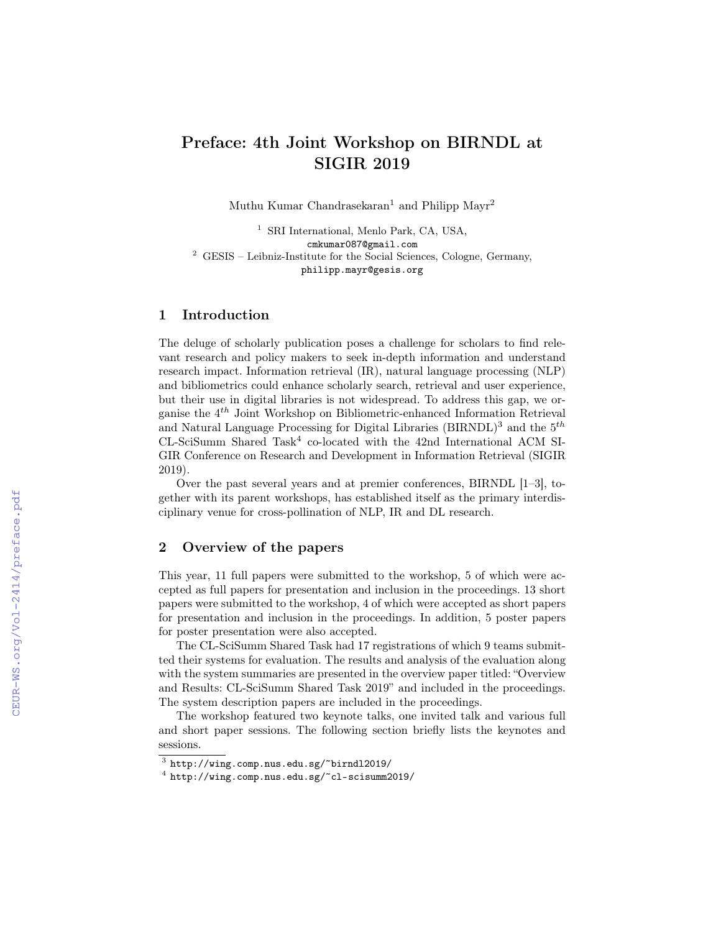# Preface: 4th Joint Workshop on BIRNDL at SIGIR 2019

Muthu Kumar Chandrasekaran<sup>1</sup> and Philipp Mayr<sup>2</sup>

<sup>1</sup> SRI International, Menlo Park, CA, USA, cmkumar087@gmail.com <sup>2</sup> GESIS – Leibniz-Institute for the Social Sciences, Cologne, Germany, philipp.mayr@gesis.org

## 1 Introduction

The deluge of scholarly publication poses a challenge for scholars to find relevant research and policy makers to seek in-depth information and understand research impact. Information retrieval (IR), natural language processing (NLP) and bibliometrics could enhance scholarly search, retrieval and user experience, but their use in digital libraries is not widespread. To address this gap, we organise the 4<sup>th</sup> Joint Workshop on Bibliometric-enhanced Information Retrieval and Natural Language Processing for Digital Libraries (BIRNDL)<sup>3</sup> and the  $5<sup>th</sup>$  $CL-SciSumm$  Shared Task<sup>4</sup> co-located with the 42nd International ACM SI-GIR Conference on Research and Development in Information Retrieval (SIGIR 2019).

Over the past several years and at premier conferences, BIRNDL [1–3], together with its parent workshops, has established itself as the primary interdisciplinary venue for cross-pollination of NLP, IR and DL research.

## 2 Overview of the papers

This year, 11 full papers were submitted to the workshop, 5 of which were accepted as full papers for presentation and inclusion in the proceedings. 13 short papers were submitted to the workshop, 4 of which were accepted as short papers for presentation and inclusion in the proceedings. In addition, 5 poster papers for poster presentation were also accepted.

The CL-SciSumm Shared Task had 17 registrations of which 9 teams submitted their systems for evaluation. The results and analysis of the evaluation along with the system summaries are presented in the overview paper titled: "Overview and Results: CL-SciSumm Shared Task 2019" and included in the proceedings. The system description papers are included in the proceedings.

The workshop featured two keynote talks, one invited talk and various full and short paper sessions. The following section briefly lists the keynotes and sessions.

 $^3$  http://wing.comp.nus.edu.sg/~birndl2019/

 $^4$  http://wing.comp.nus.edu.sg/~cl-scisumm2019/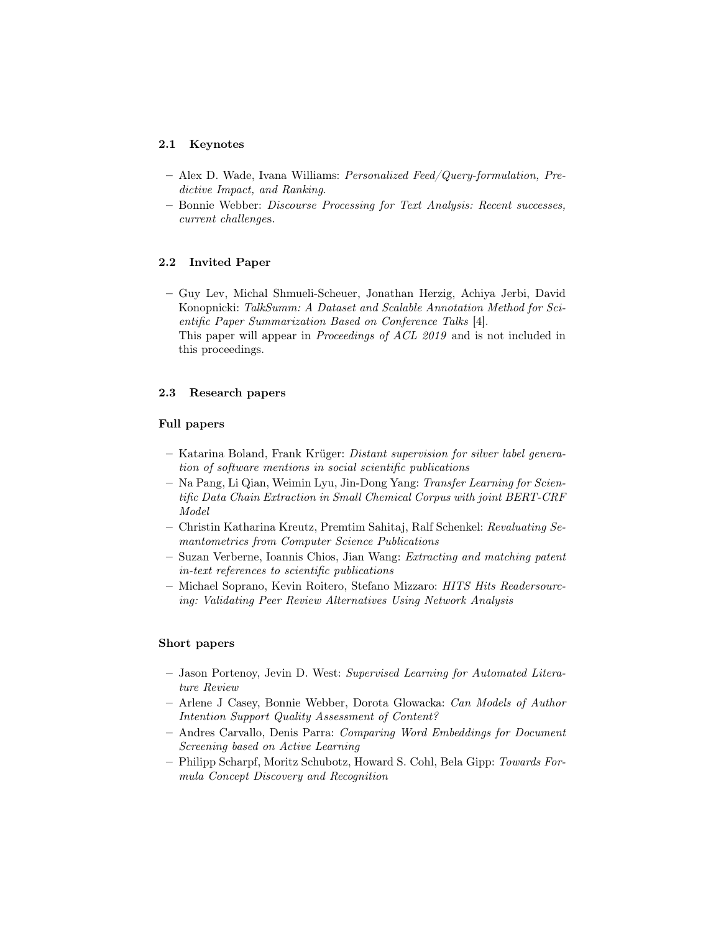#### 2.1 Keynotes

- Alex D. Wade, Ivana Williams: Personalized Feed/Query-formulation, Predictive Impact, and Ranking.
- Bonnie Webber: Discourse Processing for Text Analysis: Recent successes, current challenges.

## 2.2 Invited Paper

– Guy Lev, Michal Shmueli-Scheuer, Jonathan Herzig, Achiya Jerbi, David Konopnicki: TalkSumm: A Dataset and Scalable Annotation Method for Scientific Paper Summarization Based on Conference Talks [4]. This paper will appear in Proceedings of ACL 2019 and is not included in this proceedings.

#### 2.3 Research papers

#### Full papers

- Katarina Boland, Frank Krüger: Distant supervision for silver label generation of software mentions in social scientific publications
- Na Pang, Li Qian, Weimin Lyu, Jin-Dong Yang: Transfer Learning for Scientific Data Chain Extraction in Small Chemical Corpus with joint BERT-CRF Model
- Christin Katharina Kreutz, Premtim Sahitaj, Ralf Schenkel: Revaluating Semantometrics from Computer Science Publications
- Suzan Verberne, Ioannis Chios, Jian Wang: Extracting and matching patent in-text references to scientific publications
- Michael Soprano, Kevin Roitero, Stefano Mizzaro: HITS Hits Readersourcing: Validating Peer Review Alternatives Using Network Analysis

#### Short papers

- Jason Portenoy, Jevin D. West: Supervised Learning for Automated Literature Review
- Arlene J Casey, Bonnie Webber, Dorota Glowacka: Can Models of Author Intention Support Quality Assessment of Content?
- Andres Carvallo, Denis Parra: Comparing Word Embeddings for Document Screening based on Active Learning
- Philipp Scharpf, Moritz Schubotz, Howard S. Cohl, Bela Gipp: Towards Formula Concept Discovery and Recognition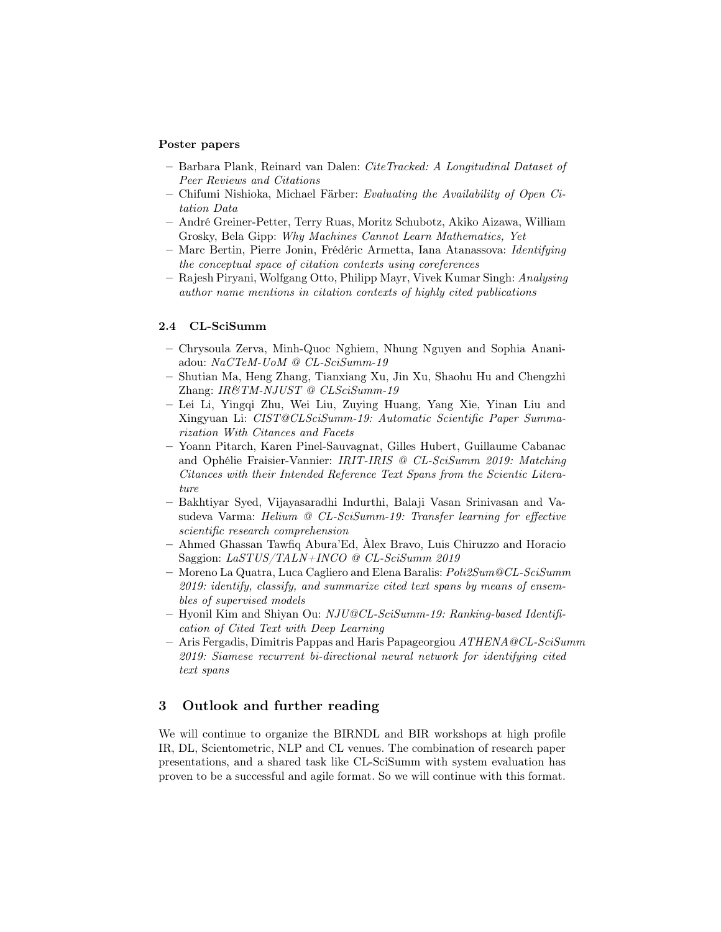#### Poster papers

- Barbara Plank, Reinard van Dalen: CiteTracked: A Longitudinal Dataset of Peer Reviews and Citations
- Chifumi Nishioka, Michael Färber: Evaluating the Availability of Open Citation Data
- André Greiner-Petter, Terry Ruas, Moritz Schubotz, Akiko Aizawa, William Grosky, Bela Gipp: Why Machines Cannot Learn Mathematics, Yet
- Marc Bertin, Pierre Jonin, Frédéric Armetta, Iana Atanassova: Identifying the conceptual space of citation contexts using coreferences
- Rajesh Piryani, Wolfgang Otto, Philipp Mayr, Vivek Kumar Singh: Analysing author name mentions in citation contexts of highly cited publications

#### 2.4 CL-SciSumm

- Chrysoula Zerva, Minh-Quoc Nghiem, Nhung Nguyen and Sophia Ananiadou: NaCTeM-UoM @ CL-SciSumm-19
- Shutian Ma, Heng Zhang, Tianxiang Xu, Jin Xu, Shaohu Hu and Chengzhi Zhang: IR&TM-NJUST @ CLSciSumm-19
- Lei Li, Yingqi Zhu, Wei Liu, Zuying Huang, Yang Xie, Yinan Liu and Xingyuan Li: CIST@CLSciSumm-19: Automatic Scientific Paper Summarization With Citances and Facets
- Yoann Pitarch, Karen Pinel-Sauvagnat, Gilles Hubert, Guillaume Cabanac and Ophélie Fraisier-Vannier: IRIT-IRIS @ CL-SciSumm 2019: Matching Citances with their Intended Reference Text Spans from the Scientic Literature
- Bakhtiyar Syed, Vijayasaradhi Indurthi, Balaji Vasan Srinivasan and Vasudeva Varma: Helium @ CL-SciSumm-19: Transfer learning for effective scientific research comprehension
- Ahmed Ghassan Tawfiq Abura'Ed, Àlex Bravo, Luis Chiruzzo and Horacio Saggion: LaSTUS/TALN+INCO @ CL-SciSumm 2019
- Moreno La Quatra, Luca Cagliero and Elena Baralis: Poli2Sum@CL-SciSumm 2019: identify, classify, and summarize cited text spans by means of ensembles of supervised models
- Hyonil Kim and Shiyan Ou: NJU@CL-SciSumm-19: Ranking-based Identification of Cited Text with Deep Learning
- $-$  Aris Fergadis, Dimitris Pappas and Haris Papageorgiou  $ATHENA \& CL-SciSumm$ 2019: Siamese recurrent bi-directional neural network for identifying cited text spans

## 3 Outlook and further reading

We will continue to organize the BIRNDL and BIR workshops at high profile IR, DL, Scientometric, NLP and CL venues. The combination of research paper presentations, and a shared task like CL-SciSumm with system evaluation has proven to be a successful and agile format. So we will continue with this format.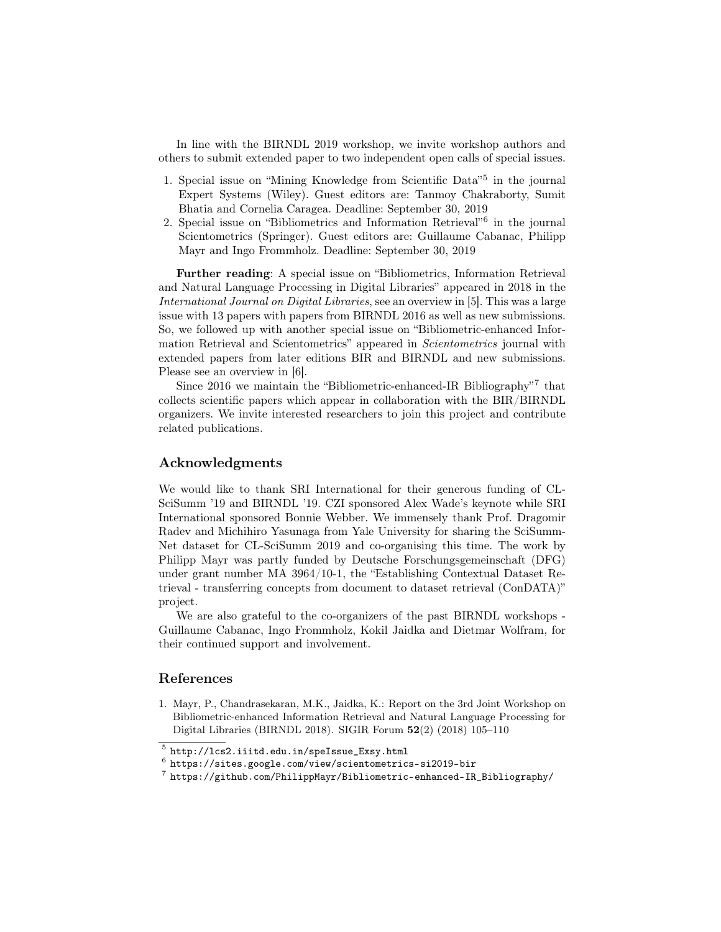In line with the BIRNDL 2019 workshop, we invite workshop authors and others to submit extended paper to two independent open calls of special issues.

- 1. Special issue on "Mining Knowledge from Scientific Data"<sup>5</sup> in the journal Expert Systems (Wiley). Guest editors are: Tanmoy Chakraborty, Sumit Bhatia and Cornelia Caragea. Deadline: September 30, 2019
- 2. Special issue on "Bibliometrics and Information Retrieval"<sup>6</sup> in the journal Scientometrics (Springer). Guest editors are: Guillaume Cabanac, Philipp Mayr and Ingo Frommholz. Deadline: September 30, 2019

Further reading: A special issue on "Bibliometrics, Information Retrieval and Natural Language Processing in Digital Libraries" appeared in 2018 in the International Journal on Digital Libraries, see an overview in [5]. This was a large issue with 13 papers with papers from BIRNDL 2016 as well as new submissions. So, we followed up with another special issue on "Bibliometric-enhanced Information Retrieval and Scientometrics" appeared in Scientometrics journal with extended papers from later editions BIR and BIRNDL and new submissions. Please see an overview in [6].

Since 2016 we maintain the "Bibliometric-enhanced-IR Bibliography"<sup>7</sup> that collects scientific papers which appear in collaboration with the BIR/BIRNDL organizers. We invite interested researchers to join this project and contribute related publications.

# Acknowledgments

We would like to thank SRI International for their generous funding of CL-SciSumm '19 and BIRNDL '19. CZI sponsored Alex Wade's keynote while SRI International sponsored Bonnie Webber. We immensely thank Prof. Dragomir Radev and Michihiro Yasunaga from Yale University for sharing the SciSumm-Net dataset for CL-SciSumm 2019 and co-organising this time. The work by Philipp Mayr was partly funded by Deutsche Forschungsgemeinschaft (DFG) under grant number MA 3964/10-1, the "Establishing Contextual Dataset Retrieval - transferring concepts from document to dataset retrieval (ConDATA)" project.

We are also grateful to the co-organizers of the past BIRNDL workshops - Guillaume Cabanac, Ingo Frommholz, Kokil Jaidka and Dietmar Wolfram, for their continued support and involvement.

# References

1. Mayr, P., Chandrasekaran, M.K., Jaidka, K.: Report on the 3rd Joint Workshop on Bibliometric-enhanced Information Retrieval and Natural Language Processing for Digital Libraries (BIRNDL 2018). SIGIR Forum 52(2) (2018) 105–110

<sup>5</sup> http://lcs2.iiitd.edu.in/speIssue\_Exsy.html

 $^6$  https://sites.google.com/view/scientometrics-si2019-bir

 $^7$  https://github.com/PhilippMayr/Bibliometric-enhanced-IR\_Bibliography/